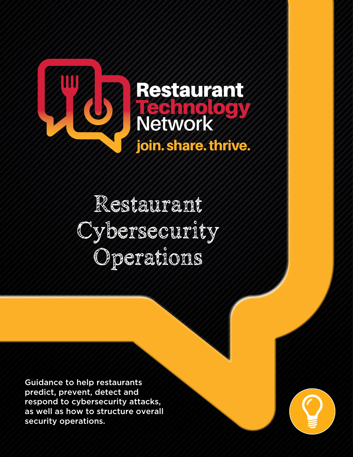

Restaurant Cybersecurity Operations

Guidance to help restaurants predict, prevent, detect and respond to cybersecurity attacks, as well as how to structure overall security operations.

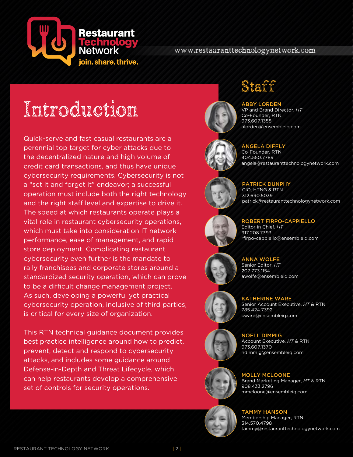

### www.restauranttechnologynetwork.com

# Introduction

Quick-serve and fast casual restaurants are a perennial top target for cyber attacks due to the decentralized nature and high volume of credit card transactions, and thus have unique cybersecurity requirements. Cybersecurity is not a "set it and forget it" endeavor; a successful operation must include both the right technology and the right staff level and expertise to drive it. The speed at which restaurants operate plays a vital role in restaurant cybersecurity operations, which must take into consideration IT network performance, ease of management, and rapid store deployment. Complicating restaurant cybersecurity even further is the mandate to rally franchisees and corporate stores around a standardized security operation, which can prove to be a difficult change management project. As such, developing a powerful yet practical cybersecurity operation, inclusive of third parties, is critical for every size of organization.

This RTN technical guidance document provides best practice intelligence around how to predict, prevent, detect and respond to cybersecurity attacks, and includes some guidance around Defense-in-Depth and Threat Lifecycle, which can help restaurants develop a comprehensive set of controls for security operations.



# Staff

### ABBY LORDEN

VP and Brand Director, *HT* Co-Founder, RTN 973.607.1358 alorden@ensembleiq.com



# angela@restauranttechnologynetwork.com

ANGELA DIFFLY Co-Founder, RTN 404.550.7789

PATRICK DUNPHY CIO, HTNG & RTN 312.690.5039 patrick@restauranttechnologynetwork.com



### ROBERT FIRPO-CAPPIELLO Editor in Chief, *HT* 917.208.7393 rfirpo-cappiello@ensembleiq.com



ANNA WOLFE Senior Editor, *HT* 207.773.1154 awolfe@ensembleiq.com



### KATHERINE WARE Senior Account Executive, *HT* & RTN

785.424.7392 kware@ensembleiq.com



NOELL DIMMIG Account Executive, *HT* & RTN 973.607.1370 ndimmig@ensembleiq.com





MOLLY MCLOONE Brand Marketing Manager, *HT* & RTN 908.433.2796 mmcloone@ensembleiq.com

### TAMMY HANSON

Membership Manager, RTN 314.570.4798 tammy@restauranttechnologynetwork.com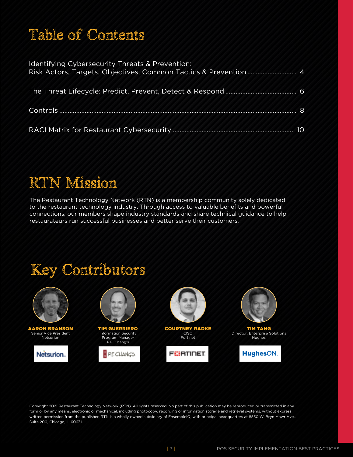# Table of Contents

| <b>Identifying Cybersecurity Threats &amp; Prevention:</b> |     |
|------------------------------------------------------------|-----|
|                                                            |     |
|                                                            | . 8 |
|                                                            | 10  |

# RTN Mission

The Restaurant Technology Network (RTN) is a membership community solely dedicated to the restaurant technology industry. Through access to valuable benefits and powerful connections, our members shape industry standards and share technical guidance to help restaurateurs run successful businesses and better serve their customers.

# Key Contributors



Copyright 2021 Restaurant Technology Network (RTN). All rights reserved. No part of this publication may be reproduced or transmitted in any form or by any means, electronic or mechanical, including photocopy, recording or information storage and retrieval systems, without express written permission from the publisher. RTN is a wholly owned subsidiary of EnsembleIQ, with principal headquarters at 8550 W. Bryn Mawr Ave., Suite 200, Chicago, IL 60631.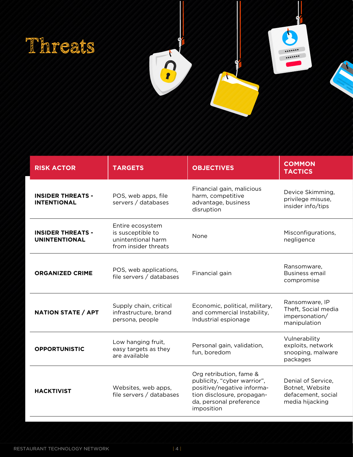



| <b>RISK ACTOR</b>                                | <b>TARGETS</b>                                                                      | <b>OBJECTIVES</b>                                                                                                                                           | <b>COMMON</b><br><b>TACTICS</b>                                                |
|--------------------------------------------------|-------------------------------------------------------------------------------------|-------------------------------------------------------------------------------------------------------------------------------------------------------------|--------------------------------------------------------------------------------|
| <b>INSIDER THREATS -</b><br><b>INTENTIONAL</b>   | POS, web apps, file<br>servers / databases                                          | Financial gain, malicious<br>harm, competitive<br>advantage, business<br>disruption                                                                         | Device Skimming,<br>privilege misuse,<br>insider info/tips                     |
| <b>INSIDER THREATS -</b><br><b>UNINTENTIONAL</b> | Entire ecosystem<br>is susceptible to<br>unintentional harm<br>from insider threats | None                                                                                                                                                        | Misconfigurations,<br>negligence                                               |
| <b>ORGANIZED CRIME</b>                           | POS, web applications,<br>file servers / databases                                  | Financial gain                                                                                                                                              | Ransomware,<br><b>Business email</b><br>compromise                             |
| <b>NATION STATE / APT</b>                        | Supply chain, critical<br>infrastructure, brand<br>persona, people                  | Economic, political, military,<br>and commercial Instability,<br>Industrial espionage                                                                       | Ransomware, IP<br>Theft, Social media<br>impersonation/<br>manipulation        |
| <b>OPPORTUNISTIC</b>                             | Low hanging fruit,<br>easy targets as they<br>are available                         | Personal gain, validation,<br>fun, boredom                                                                                                                  | Vulnerability<br>exploits, network<br>snooping, malware<br>packages            |
| <b>HACKTIVIST</b>                                | Websites, web apps,<br>file servers / databases                                     | Org retribution, fame &<br>publicity, "cyber warrior",<br>positive/negative informa-<br>tion disclosure, propagan-<br>da, personal preference<br>imposition | Denial of Service,<br>Botnet, Website<br>defacement, social<br>media hijacking |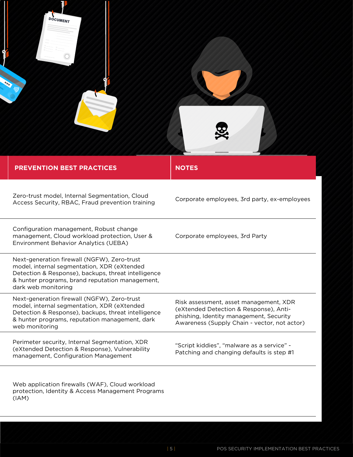| <b>DOCUMENT</b><br><b>PREVENTION BEST PRACTICES</b>                                                                                                                                                                         | <b>NOTES</b>                                                                                                                                                                |
|-----------------------------------------------------------------------------------------------------------------------------------------------------------------------------------------------------------------------------|-----------------------------------------------------------------------------------------------------------------------------------------------------------------------------|
| Zero-trust model, Internal Segmentation, Cloud<br>Access Security, RBAC, Fraud prevention training                                                                                                                          | Corporate employees, 3rd party, ex-employees                                                                                                                                |
| Configuration management, Robust change<br>management, Cloud workload protection, User &<br>Environment Behavior Analytics (UEBA)                                                                                           | Corporate employees, 3rd Party                                                                                                                                              |
| Next-generation firewall (NGFW), Zero-trust<br>model, internal segmentation, XDR (eXtended<br>Detection & Response), backups, threat intelligence<br>& hunter programs, brand reputation management,<br>dark web monitoring |                                                                                                                                                                             |
| Next-generation firewall (NGFW), Zero-trust<br>model, internal segmentation, XDR (eXtended<br>Detection & Response), backups, threat intelligence<br>& hunter programs, reputation management, dark<br>web monitoring       | Risk assessment, asset management, XDR<br>(eXtended Detection & Response), Anti-<br>phishing, Identity management, Security<br>Awareness (Supply Chain - vector, not actor) |
| Perimeter security, Internal Segmentation, XDR<br>(eXtended Detection & Response), Vulnerability<br>management, Configuration Management                                                                                    | "Script kiddies", "malware as a service" -<br>Patching and changing defaults is step #1                                                                                     |
| Web application firewalls (WAF), Cloud workload<br>protection, Identity & Access Management Programs<br>(IAM)                                                                                                               |                                                                                                                                                                             |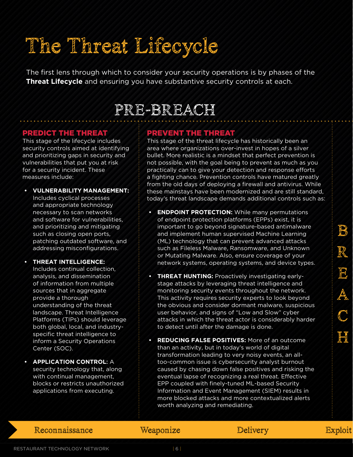# The Threat Lifecycle

The first lens through which to consider your security operations is by phases of the **Threat Lifecycle** and ensuring you have substantive security controls at each.

## PRE-BREACH

### PREDICT THE THREAT

This stage of the lifecycle includes security controls aimed at identifying and prioritizing gaps in security and vulnerabilities that put you at risk for a security incident. These measures include:

- **• VULNERABILITY MANAGEMENT:**  Includes cyclical processes and appropriate technology necessary to scan networks and software for vulnerabilities, and prioritizing and mitigating such as closing open ports, patching outdated software, and addressing misconfigurations.
- **• THREAT INTELLIGENCE:** Includes continual collection, analysis, and dissemination of information from multiple sources that in aggregate provide a thorough understanding of the threat landscape. Threat Intelligence Platforms (TIPs) should leverage both global, local, and industryspecific threat intelligence to inform a Security Operations Center (SOC).
- **• APPLICATION CONTROL**: A security technology that, along with continual management, blocks or restricts unauthorized applications from executing.

### PREVENT THE THREAT

This stage of the threat lifecycle has historically been an area where organizations over-invest in hopes of a silver bullet. More realistic is a mindset that perfect prevention is not possible, with the goal being to prevent as much as you practically can to give your detection and response efforts a fighting chance. Prevention controls have matured greatly from the old days of deploying a firewall and antivirus. While these mainstays have been modernized and are still standard, today's threat landscape demands additional controls such as:

- **• ENDPOINT PROTECTION:** While many permutations of endpoint protection platforms (EPPs) exist, it is important to go beyond signature-based antimalware and implement human supervised Machine Learning (ML) technology that can prevent advanced attacks such as Fileless Malware, Ransomware, and Unknown or Mutating Malware. Also, ensure coverage of your network systems, operating systems, and device types.
- **• THREAT HUNTING:** Proactively investigating earlystage attacks by leveraging threat intelligence and monitoring security events throughout the network. This activity requires security experts to look beyond the obvious and consider dormant malware, suspicious user behavior, and signs of "Low and Slow" cyber attacks in which the threat actor is considerably harder to detect until after the damage is done.
- **• REDUCING FALSE POSITIVES:** More of an outcome than an activity, but in today's world of digital transformation leading to very noisy events, an alltoo-common issue is cybersecurity analyst burnout caused by chasing down false positives and risking the eventual lapse of recognizing a real threat. Effective EPP coupled with finely-tuned ML-based Security Information and Event Management (SIEM) results in more blocked attacks and more contextualized alerts worth analyzing and remediating.

### Reconnaissance Weaponize Delivery Exploit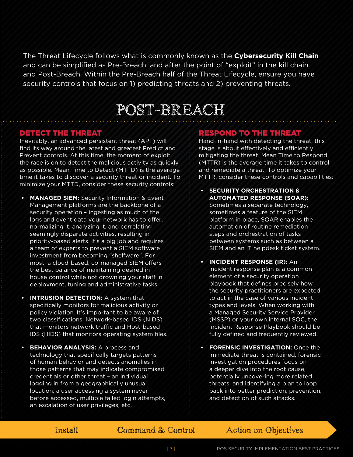The Threat Lifecycle follows what is commonly known as the **Cybersecurity Kill Chain** and can be simplified as Pre-Breach, and after the point of "exploit" in the kill chain and Post-Breach. Within the Pre-Breach half of the Threat Lifecycle, ensure you have security controls that focus on 1) predicting threats and 2) preventing threats.

## POST-BREACH

### DETECT THE THREAT

Inevitably, an advanced persistent threat (APT) will find its way around the latest and greatest Predict and Prevent controls. At this time, the moment of exploit, the race is on to detect the malicious activity as quickly as possible. Mean Time to Detect (MTTD) is the average time it takes to discover a security threat or incident. To minimize your MTTD, consider these security controls:

- **• MANAGED SIEM:** Security Information & Event Management platforms are the backbone of a security operation – ingesting as much of the logs and event data your network has to offer, normalizing it, analyzing it, and correlating seemingly disparate activities, resulting in priority-based alerts. It's a big job and requires a team of experts to prevent a SIEM software investment from becoming "shelfware". For most, a cloud-based, co-managed SIEM offers the best balance of maintaining desired inhouse control while not drowning your staff in deployment, tuning and administrative tasks.
- **• INTRUSION DETECTION:** A system that specifically monitors for malicious activity or policy violation. It's important to be aware of two classifications: Network-based IDS (NIDS) that monitors network traffic and Host-based IDS (HIDS) that monitors operating system files.
- **• BEHAVIOR ANALYSIS:** A process and technology that specifically targets patterns of human behavior and detects anomalies in those patterns that may indicate compromised credentials or other threat – an individual logging in from a geographically unusual location, a user accessing a system never before accessed, multiple failed login attempts, an escalation of user privileges, etc.

### RESPOND TO THE THREAT

Hand-in-hand with detecting the threat, this stage is about effectively and efficiently mitigating the threat. Mean Time to Respond (MTTR) is the average time it takes to control and remediate a threat. To optimize your MTTR, consider these controls and capabilities:

- **• SECURITY ORCHESTRATION & AUTOMATED RESPONSE (SOAR):** Sometimes a separate technology, sometimes a feature of the SIEM platform in place, SOAR enables the automation of routine remediation steps and orchestration of tasks between systems such as between a SIEM and an IT helpdesk ticket system.
- **• INCIDENT RESPONSE (IR):** An incident response plan is a common element of a security operation playbook that defines precisely how the security practitioners are expected to act in the case of various incident types and levels. When working with a Managed Security Service Provider (MSSP) or your own internal SOC, the Incident Response Playbook should be fully defined and frequently reviewed.
- **• FORENSIC INVESTIGATION:** Once the immediate threat is contained, forensic investigation procedures focus on a deeper dive into the root cause, potentially uncovering more related threats, and identifying a plan to loop back into better prediction, prevention, and detection of such attacks.

### Install Command & Control Action on Objectives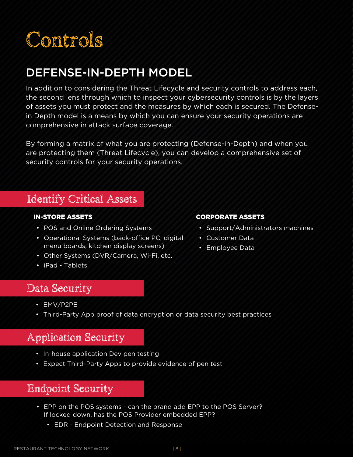

## DEFENSE-IN-DEPTH MODEL

In addition to considering the Threat Lifecycle and security controls to address each, the second lens through which to inspect your cybersecurity controls is by the layers of assets you must protect and the measures by which each is secured. The Defensein Depth model is a means by which you can ensure your security operations are comprehensive in attack surface coverage.

By forming a matrix of what you are protecting (Defense-in-Depth) and when you are protecting them (Threat Lifecycle), you can develop a comprehensive set of security controls for your security operations.

### Identify Critical Assets

### IN-STORE ASSETS

- POS and Online Ordering Systems
- Operational Systems (back-office PC, digital menu boards, kitchen display screens)
- Other Systems (DVR/Camera, Wi-Fi, etc.
- iPad Tablets

### CORPORATE ASSETS

- Support/Administrators machines
- Customer Data
- Employee Data

### Data Security

- EMV/P2PE
- Third-Party App proof of data encryption or data security best practices

### Application Security

- In-house application Dev pen testing
- Expect Third-Party Apps to provide evidence of pen test

### Endpoint Security

- EPP on the POS systems can the brand add EPP to the POS Server? If locked down, has the POS Provider embedded EPP?
	- EDR Endpoint Detection and Response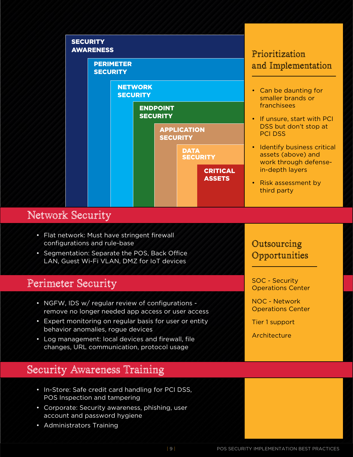

### Network Security

- Flat network: Must have stringent firewall configurations and rule-base
- Segmentation: Separate the POS, Back Office LAN, Guest Wi-Fi VLAN, DMZ for IoT devices

### Perimeter Security

- NGFW, IDS w/ regular review of configurations remove no longer needed app access or user access
- Expert monitoring on regular basis for user or entity behavior anomalies, rogue devices
- Log management: local devices and firewall, file changes, URL communication, protocol usage

### Security Awareness Training

- In-Store: Safe credit card handling for PCI DSS, POS Inspection and tampering
- Corporate: Security awareness, phishing, user account and password hygiene
- Administrators Training

### Outsourcing **Opportunities**

SOC - Security Operations Center

NOC - Network Operations Center

Tier 1 support

Architecture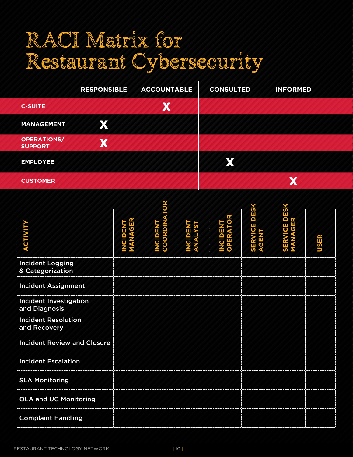# RACI Matrix for Restaurant Cybersecurity

|                                      | <b>RESPONSIBLE</b> | <b>ACCOUNTABLE</b> | <b>CONSULTED</b> | <b>INFORMED</b> |
|--------------------------------------|--------------------|--------------------|------------------|-----------------|
| <b>C-SUITE</b>                       |                    | X                  |                  |                 |
| <b>MANAGEMENT</b>                    | X                  |                    |                  |                 |
| <b>OPERATIONS/</b><br><b>SUPPORT</b> | X                  |                    |                  |                 |
| <b>EMPLOYEE</b>                      |                    |                    | X                |                 |
| <b>CUSTOMER</b>                      |                    |                    |                  | V               |

| <b>ACTIVITY</b>                                | TOR<br><b>COORDIN</b><br><b>NCIDENT</b> | π | OPERATO<br><b>NCIDENT</b> | <b>DESK</b><br>$\overline{\mathbf{o}}$<br>ERVI<br>$rac{1}{9}$ | SERVICE DESK<br>MANAGER |             |
|------------------------------------------------|-----------------------------------------|---|---------------------------|---------------------------------------------------------------|-------------------------|-------------|
|                                                |                                         |   |                           |                                                               |                         | <b>USER</b> |
| <b>Incident Logging</b><br>& Categorization    |                                         |   |                           |                                                               |                         |             |
| <b>Incident Assignment</b>                     |                                         |   |                           |                                                               |                         |             |
| <b>Incident Investigation</b><br>and Diagnosis |                                         |   |                           |                                                               |                         |             |
| <b>Incident Resolution</b><br>and Recovery     |                                         |   |                           |                                                               |                         |             |
| <b>Incident Review and Closure</b>             |                                         |   |                           |                                                               |                         |             |
| <b>Incident Escalation</b>                     |                                         |   |                           |                                                               |                         |             |
| <b>SLA Monitoring</b>                          |                                         |   |                           |                                                               |                         |             |
| <b>OLA and UC Monitoring</b>                   |                                         |   |                           |                                                               |                         |             |
| <b>Complaint Handling</b>                      |                                         |   |                           |                                                               |                         |             |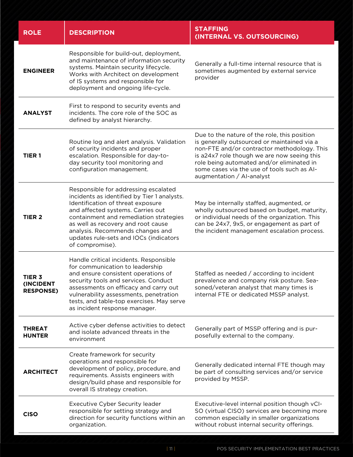| <b>ROLE</b>                                    | <b>DESCRIPTION</b>                                                                                                                                                                                                                                                                                                                             | <b>STAFFING</b><br>(INTERNAL VS. OUTSOURCING)                                                                                                                                                                                                                                                                      |
|------------------------------------------------|------------------------------------------------------------------------------------------------------------------------------------------------------------------------------------------------------------------------------------------------------------------------------------------------------------------------------------------------|--------------------------------------------------------------------------------------------------------------------------------------------------------------------------------------------------------------------------------------------------------------------------------------------------------------------|
| <b>ENGINEER</b>                                | Responsible for build-out, deployment,<br>and maintenance of information security<br>systems. Maintain security lifecycle.<br>Works with Architect on development<br>of IS systems and responsible for<br>deployment and ongoing life-cycle.                                                                                                   | Generally a full-time internal resource that is<br>sometimes augmented by external service<br>provider                                                                                                                                                                                                             |
| <b>ANALYST</b>                                 | First to respond to security events and<br>incidents. The core role of the SOC as<br>defined by analyst hierarchy.                                                                                                                                                                                                                             |                                                                                                                                                                                                                                                                                                                    |
| TIER <sub>1</sub>                              | Routine log and alert analysis. Validation<br>of security incidents and proper<br>escalation. Responsible for day-to-<br>day security tool monitoring and<br>configuration management.                                                                                                                                                         | Due to the nature of the role, this position<br>is generally outsourced or maintained via a<br>non-FTE and/or contractor methodology. This<br>is a24x7 role though we are now seeing this<br>role being automated and/or eliminated in<br>some cases via the use of tools such as AI-<br>augmentation / Al-analyst |
| TIER <sub>2</sub>                              | Responsible for addressing escalated<br>incidents as identified by Tier 1 analysts.<br>Identification of threat exposure<br>and affected systems. Carries out<br>containment and remediation strategies<br>as well as recovery and root cause<br>analysis. Recommends changes and<br>updates rule-sets and IOCs (indicators<br>of compromise). | May be internally staffed, augmented, or<br>wholly outsourced based on budget, maturity,<br>or individual needs of the organization. This<br>can be 24x7, 9x5, or engagement as part of<br>the incident management escalation process.                                                                             |
| <b>TIER 3</b><br>(INCIDENT<br><b>RESPONSE)</b> | Handle critical incidents. Responsible<br>for communication to leadership<br>and ensure consistent operations of<br>security tools and services. Conduct<br>assessments on efficacy and carry out<br>vulnerability assessments, penetration<br>tests, and table-top exercises. May serve<br>as incident response manager.                      | Staffed as needed / according to incident<br>prevalence and company risk posture. Sea-<br>soned/veteran analyst that many times is<br>internal FTE or dedicated MSSP analyst.                                                                                                                                      |
| <b>THREAT</b><br><b>HUNTER</b>                 | Active cyber defense activities to detect<br>and isolate advanced threats in the<br>environment                                                                                                                                                                                                                                                | Generally part of MSSP offering and is pur-<br>posefully external to the company.                                                                                                                                                                                                                                  |
| <b>ARCHITECT</b>                               | Create framework for security<br>operations and responsible for<br>development of policy, procedure, and<br>requirements. Assists engineers with<br>design/build phase and responsible for<br>overall IS strategy creation.                                                                                                                    | Generally dedicated internal FTE though may<br>be part of consulting services and/or service<br>provided by MSSP.                                                                                                                                                                                                  |
| <b>CISO</b>                                    | <b>Executive Cyber Security leader</b><br>responsible for setting strategy and<br>direction for security functions within an<br>organization.                                                                                                                                                                                                  | Executive-level internal position though vCI-<br>SO (virtual CISO) services are becoming more<br>common especially in smaller organizations<br>without robust internal security offerings.                                                                                                                         |